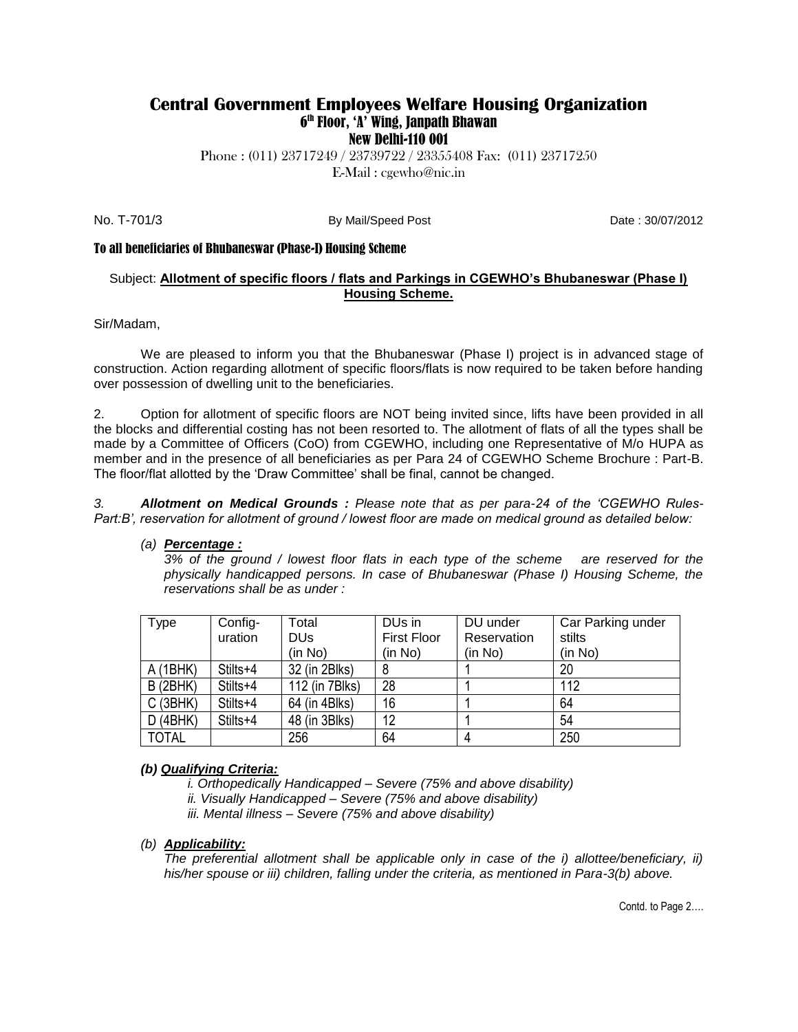### **Central Government Employees Welfare Housing Organization** 6 th Floor, 'A' Wing, Janpath Bhawan New Delhi-110 001

Phone : (011) 23717249 / 23739722 / 23355408 Fax: (011) 23717250 E-Mail : cgewho@nic.in

No. T-701/3 **By Mail/Speed Post** Date : 30/07/2012

#### To all beneficiaries of Bhubaneswar (Phase-I) Housing Scheme

#### Subject: **Allotment of specific floors / flats and Parkings in CGEWHO's Bhubaneswar (Phase I) Housing Scheme.**

#### Sir/Madam,

We are pleased to inform you that the Bhubaneswar (Phase I) project is in advanced stage of construction. Action regarding allotment of specific floors/flats is now required to be taken before handing over possession of dwelling unit to the beneficiaries.

2. Option for allotment of specific floors are NOT being invited since, lifts have been provided in all the blocks and differential costing has not been resorted to. The allotment of flats of all the types shall be made by a Committee of Officers (CoO) from CGEWHO, including one Representative of M/o HUPA as member and in the presence of all beneficiaries as per Para 24 of CGEWHO Scheme Brochure : Part-B. The floor/flat allotted by the 'Draw Committee' shall be final, cannot be changed.

*3. Allotment on Medical Grounds : Please note that as per para-24 of the 'CGEWHO Rules-Part:B', reservation for allotment of ground / lowest floor are made on medical ground as detailed below:*

#### *(a) Percentage :*

*3% of the ground / lowest floor flats in each type of the scheme are reserved for the physically handicapped persons. In case of Bhubaneswar (Phase I) Housing Scheme, the reservations shall be as under :*

| Type         | Config-  | Total          | DU <sub>s</sub> in | DU under    | Car Parking under |
|--------------|----------|----------------|--------------------|-------------|-------------------|
|              | uration  | DUs            | <b>First Floor</b> | Reservation | stilts            |
|              |          | (in No)        | (in No)            | (in No)     | (in No)           |
| A(1BHK)      | Stilts+4 | 32 (in 2Blks)  |                    |             | 20                |
| B(2BHK)      | Stilts+4 | 112 (in 7Blks) | 28                 |             | 112               |
| C(3BHK)      | Stilts+4 | 64 (in 4Blks)  | 16                 |             | 64                |
| D(4BHK)      | Stilts+4 | 48 (in 3Blks)  | 12                 |             | 54                |
| <b>TOTAL</b> |          | 256            | 64                 |             | 250               |

#### *(b) Qualifying Criteria:*

- *i. Orthopedically Handicapped – Severe (75% and above disability)*
- *ii. Visually Handicapped – Severe (75% and above disability)*
- *iii. Mental illness – Severe (75% and above disability)*

#### *(b) Applicability:*

The preferential allotment shall be applicable only in case of the i) allottee/beneficiary, ii) *his/her spouse or iii) children, falling under the criteria, as mentioned in Para-3(b) above.*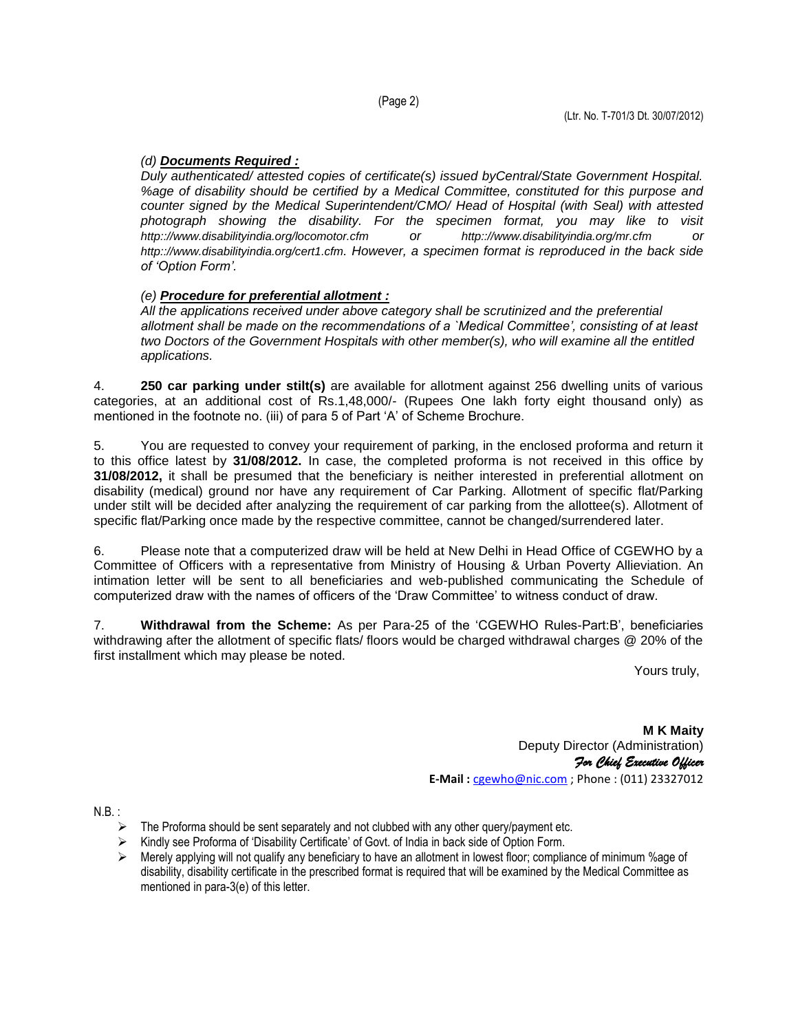## *(d) Documents Required :*

*Duly authenticated/ attested copies of certificate(s) issued byCentral/State Government Hospital. %age of disability should be certified by a Medical Committee, constituted for this purpose and counter signed by the Medical Superintendent/CMO/ Head of Hospital (with Seal) with attested photograph showing the disability. For the specimen format, you may like to visit http:://www.disabilityindia.org/locomotor.cfm or http:://www.disabilityindia.org/mr.cfm or http:://www.disabilityindia.org/cert1.cfm. However, a specimen format is reproduced in the back side of 'Option Form'.*

## *(e) Procedure for preferential allotment :*

*All the applications received under above category shall be scrutinized and the preferential allotment shall be made on the recommendations of a `Medical Committee', consisting of at least two Doctors of the Government Hospitals with other member(s), who will examine all the entitled applications.*

4. **250 car parking under stilt(s)** are available for allotment against 256 dwelling units of various categories, at an additional cost of Rs.1,48,000/- (Rupees One lakh forty eight thousand only) as mentioned in the footnote no. (iii) of para 5 of Part 'A' of Scheme Brochure.

5. You are requested to convey your requirement of parking, in the enclosed proforma and return it to this office latest by **31/08/2012.** In case, the completed proforma is not received in this office by **31/08/2012,** it shall be presumed that the beneficiary is neither interested in preferential allotment on disability (medical) ground nor have any requirement of Car Parking. Allotment of specific flat/Parking under stilt will be decided after analyzing the requirement of car parking from the allottee(s). Allotment of specific flat/Parking once made by the respective committee, cannot be changed/surrendered later.

6. Please note that a computerized draw will be held at New Delhi in Head Office of CGEWHO by a Committee of Officers with a representative from Ministry of Housing & Urban Poverty Allieviation. An intimation letter will be sent to all beneficiaries and web-published communicating the Schedule of computerized draw with the names of officers of the 'Draw Committee' to witness conduct of draw.

7. **Withdrawal from the Scheme:** As per Para-25 of the 'CGEWHO Rules-Part:B', beneficiaries withdrawing after the allotment of specific flats/ floors would be charged withdrawal charges @ 20% of the first installment which may please be noted.

Yours truly,

**M K Maity**  Deputy Director (Administration) *For Chief Executive Officer* **E-Mail :** [cgewho@nic.com](mailto:cgewho@nic.com) ; Phone : (011) 23327012

N.B. :

- $\triangleright$  The Proforma should be sent separately and not clubbed with any other query/payment etc.
- Kindly see Proforma of 'Disability Certificate' of Govt. of India in back side of Option Form.
- $\triangleright$  Merely applying will not qualify any beneficiary to have an allotment in lowest floor; compliance of minimum % age of disability, disability certificate in the prescribed format is required that will be examined by the Medical Committee as mentioned in para-3(e) of this letter.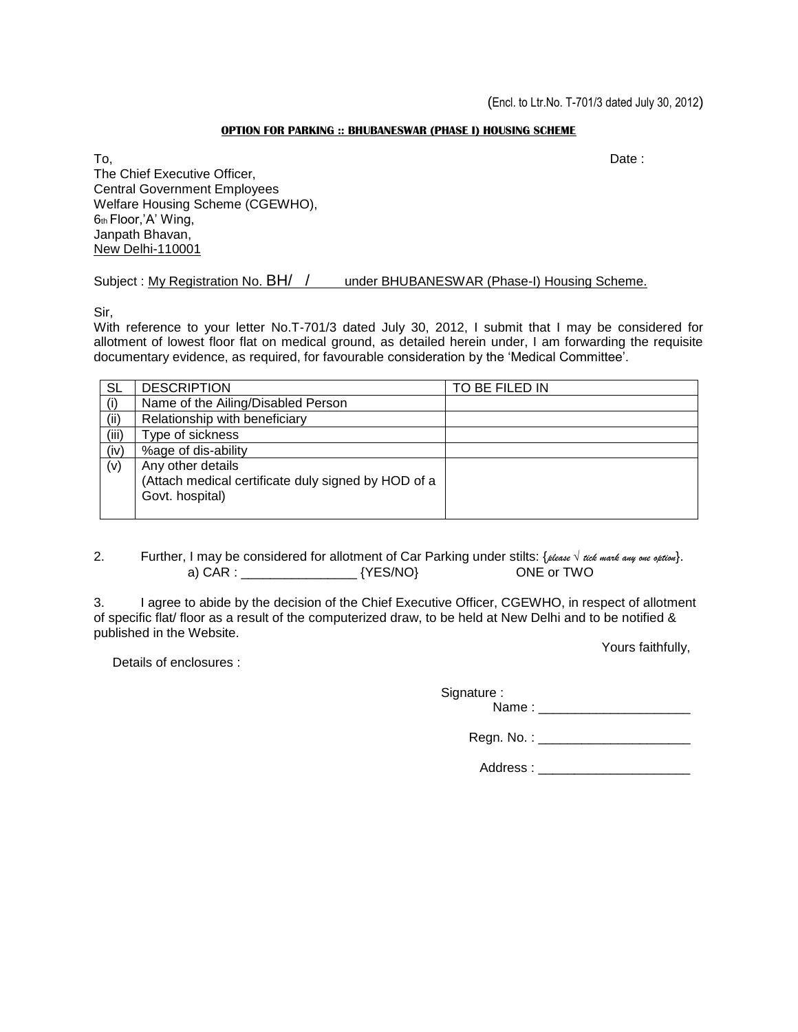### **OPTION FOR PARKING :: BHUBANESWAR (PHASE I) HOUSING SCHEME**

To, Date : The Chief Executive Officer, Central Government Employees Welfare Housing Scheme (CGEWHO), 6th Floor,'A' Wing, Janpath Bhavan, New Delhi-110001

Subject : My Registration No. BH/ / under BHUBANESWAR (Phase-I) Housing Scheme.

Sir,

With reference to your letter No.T-701/3 dated July 30, 2012, I submit that I may be considered for allotment of lowest floor flat on medical ground, as detailed herein under, I am forwarding the requisite documentary evidence, as required, for favourable consideration by the 'Medical Committee'.

| <b>SL</b> | <b>DESCRIPTION</b>                                                                          | TO BE FILED IN |
|-----------|---------------------------------------------------------------------------------------------|----------------|
| (i)       | Name of the Ailing/Disabled Person                                                          |                |
| (ii)      | Relationship with beneficiary                                                               |                |
| (iii)     | Type of sickness                                                                            |                |
| (iv)      | %age of dis-ability                                                                         |                |
| (v)       | Any other details<br>(Attach medical certificate duly signed by HOD of a<br>Govt. hospital) |                |

2. Further, I may be considered for allotment of Car Parking under stilts: {*please √ tick mark any one option*}. a) CAR : \_\_\_\_\_\_\_\_\_\_\_\_\_\_\_\_\_\_\_\_\_\_\_\_ {YES/NO} ONE or TWO

3. I agree to abide by the decision of the Chief Executive Officer, CGEWHO, in respect of allotment of specific flat/ floor as a result of the computerized draw, to be held at New Delhi and to be notified & published in the Website.

Details of enclosures :

Yours faithfully,

Signature : Name : \_\_\_\_\_\_\_\_\_\_\_\_\_\_\_\_\_\_\_\_\_

Regn. No. : \_\_\_\_\_\_\_\_\_\_\_\_\_\_\_\_\_\_\_\_\_

Address :